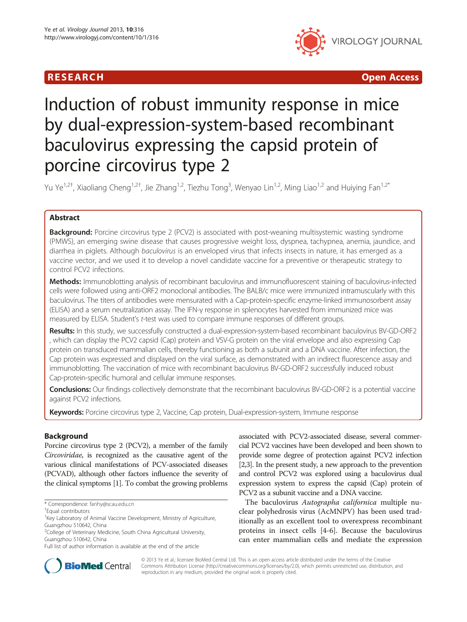## R E S EAR CH Open Access



# Induction of robust immunity response in mice by dual-expression-system-based recombinant baculovirus expressing the capsid protein of porcine circovirus type 2

Yu Ye<sup>1,2†</sup>, Xiaoliang Cheng<sup>1,2†</sup>, Jie Zhang<sup>1,2</sup>, Tiezhu Tong<sup>3</sup>, Wenyao Lin<sup>1,2</sup>, Ming Liao<sup>1,2</sup> and Huiying Fan<sup>1,2\*</sup>

## Abstract

**Background:** Porcine circovirus type 2 (PCV2) is associated with post-weaning multisystemic wasting syndrome (PMWS), an emerging swine disease that causes progressive weight loss, dyspnea, tachypnea, anemia, jaundice, and diarrhea in piglets. Although baculovirus is an enveloped virus that infects insects in nature, it has emerged as a vaccine vector, and we used it to develop a novel candidate vaccine for a preventive or therapeutic strategy to control PCV2 infections.

Methods: Immunoblotting analysis of recombinant baculovirus and immunofluorescent staining of baculovirus-infected cells were followed using anti-ORF2 monoclonal antibodies. The BALB/c mice were immunized intramuscularly with this baculovirus. The titers of antibodies were mensurated with a Cap-protein-specific enzyme-linked immunosorbent assay (ELISA) and a serum neutralization assay. The IFN-γ response in splenocytes harvested from immunized mice was measured by ELISA. Student's t-test was used to compare immune responses of different groups.

Results: In this study, we successfully constructed a dual-expression-system-based recombinant baculovirus BV-GD-ORF2 , which can display the PCV2 capsid (Cap) protein and VSV-G protein on the viral envelope and also expressing Cap protein on transduced mammalian cells, thereby functioning as both a subunit and a DNA vaccine. After infection, the Cap protein was expressed and displayed on the viral surface, as demonstrated with an indirect fluorescence assay and immunoblotting. The vaccination of mice with recombinant baculovirus BV-GD-ORF2 successfully induced robust Cap-protein-specific humoral and cellular immune responses.

Conclusions: Our findings collectively demonstrate that the recombinant baculovirus BV-GD-ORF2 is a potential vaccine against PCV2 infections.

Keywords: Porcine circovirus type 2, Vaccine, Cap protein, Dual-expression-system, Immune response

## Background

Porcine circovirus type 2 (PCV2), a member of the family Circoviridae, is recognized as the causative agent of the various clinical manifestations of PCV-associated diseases (PCVAD), although other factors influence the severity of the clinical symptoms [\[1\]](#page-6-0). To combat the growing problems

associated with PCV2-associated disease, several commercial PCV2 vaccines have been developed and been shown to provide some degree of protection against PCV2 infection [[2,3\]](#page-6-0). In the present study, a new approach to the prevention and control PCV2 was explored using a baculovirus dual expression system to express the capsid (Cap) protein of PCV2 as a subunit vaccine and a DNA vaccine.

The baculovirus Autographa californica multiple nuclear polyhedrosis virus (AcMNPV) has been used traditionally as an excellent tool to overexpress recombinant proteins in insect cells [[4-6](#page-6-0)]. Because the baculovirus can enter mammalian cells and mediate the expression



© 2013 Ye et al.; licensee BioMed Central Ltd. This is an open access article distributed under the terms of the Creative Commons Attribution License [\(http://creativecommons.org/licenses/by/2.0\)](http://creativecommons.org/licenses/by/2.0), which permits unrestricted use, distribution, and reproduction in any medium, provided the original work is properly cited.

<sup>\*</sup> Correspondence: [fanhy@scau.edu.cn](mailto:fanhy@scau.edu.cn) †

Equal contributors

<sup>&</sup>lt;sup>1</sup>Key Laboratory of Animal Vaccine Development, Ministry of Agriculture, Guangzhou 510642, China

<sup>&</sup>lt;sup>2</sup>College of Veterinary Medicine, South China Agricultural University, Guangzhou 510642, China

Full list of author information is available at the end of the article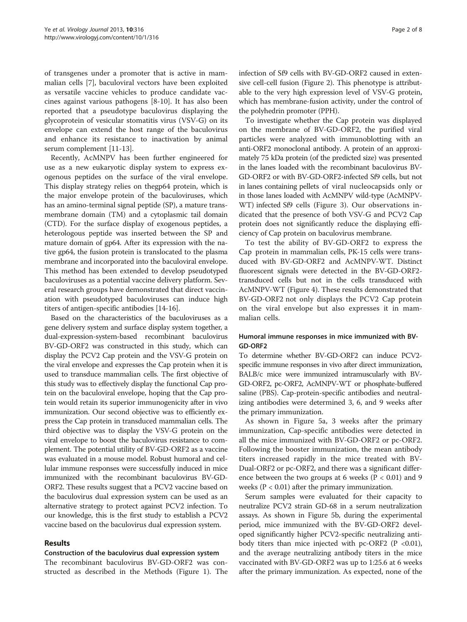of transgenes under a promoter that is active in mammalian cells [[7](#page-6-0)], baculoviral vectors have been exploited as versatile vaccine vehicles to produce candidate vaccines against various pathogens [[8-10\]](#page-6-0). It has also been reported that a pseudotype baculovirus displaying the glycoprotein of vesicular stomatitis virus (VSV-G) on its envelope can extend the host range of the baculovirus and enhance its resistance to inactivation by animal serum complement [\[11-13](#page-6-0)].

Recently, AcMNPV has been further engineered for use as a new eukaryotic display system to express exogenous peptides on the surface of the viral envelope. This display strategy relies on thegp64 protein, which is the major envelope protein of the baculoviruses, which has an amino-terminal signal peptide (SP), a mature transmembrane domain (TM) and a cytoplasmic tail domain (CTD). For the surface display of exogenous peptides, a heterologous peptide was inserted between the SP and mature domain of gp64. After its expression with the native gp64, the fusion protein is translocated to the plasma membrane and incorporated into the baculoviral envelope. This method has been extended to develop pseudotyped baculoviruses as a potential vaccine delivery platform. Several research groups have demonstrated that direct vaccination with pseudotyped baculoviruses can induce high titers of antigen-specific antibodies [[14](#page-6-0)-[16](#page-6-0)].

Based on the characteristics of the baculoviruses as a gene delivery system and surface display system together, a dual-expression-system-based recombinant baculovirus BV-GD-ORF2 was constructed in this study, which can display the PCV2 Cap protein and the VSV-G protein on the viral envelope and expresses the Cap protein when it is used to transduce mammalian cells. The first objective of this study was to effectively display the functional Cap protein on the baculoviral envelope, hoping that the Cap protein would retain its superior immunogenicity after in vivo immunization. Our second objective was to efficiently express the Cap protein in transduced mammalian cells. The third objective was to display the VSV-G protein on the viral envelope to boost the baculovirus resistance to complement. The potential utility of BV-GD-ORF2 as a vaccine was evaluated in a mouse model. Robust humoral and cellular immune responses were successfully induced in mice immunized with the recombinant baculovirus BV-GD-ORF2. These results suggest that a PCV2 vaccine based on the baculovirus dual expression system can be used as an alternative strategy to protect against PCV2 infection. To our knowledge, this is the first study to establish a PCV2 vaccine based on the baculovirus dual expression system.

## Results

#### Construction of the baculovirus dual expression system

The recombinant baculovirus BV-GD-ORF2 was constructed as described in the [Methods](#page-5-0) (Figure [1](#page-2-0)). The infection of Sf9 cells with BV-GD-ORF2 caused in extensive cell-cell fusion (Figure [2](#page-2-0)). This phenotype is attributable to the very high expression level of VSV-G protein, which has membrane-fusion activity, under the control of the polyhedrin promoter (PPH).

To investigate whether the Cap protein was displayed on the membrane of BV-GD-ORF2, the purified viral particles were analyzed with immunoblotting with an anti-ORF2 monoclonal antibody. A protein of an approximately 75 kDa protein (of the predicted size) was presented in the lanes loaded with the recombinant baculovirus BV-GD-ORF2 or with BV-GD-ORF2-infected Sf9 cells, but not in lanes containing pellets of viral nucleocapsids only or in those lanes loaded with AcMNPV wild-type (AcMNPV-WT) infected Sf9 cells (Figure [3\)](#page-3-0). Our observations indicated that the presence of both VSV-G and PCV2 Cap protein does not significantly reduce the displaying efficiency of Cap protein on baculovirus membrane.

To test the ability of BV-GD-ORF2 to express the Cap protein in mammalian cells, PK-15 cells were transduced with BV-GD-ORF2 and AcMNPV-WT. Distinct fluorescent signals were detected in the BV-GD-ORF2 transduced cells but not in the cells transduced with AcMNPV-WT (Figure [4](#page-3-0)). These results demonstrated that BV-GD-ORF2 not only displays the PCV2 Cap protein on the viral envelope but also expresses it in mammalian cells.

## Humoral immune responses in mice immunized with BV-GD-ORF2

To determine whether BV-GD-ORF2 can induce PCV2 specific immune responses in vivo after direct immunization, BALB/c mice were immunized intramuscularly with BV-GD-ORF2, pc-ORF2, AcMNPV-WT or phosphate-buffered saline (PBS). Cap-protein-specific antibodies and neutralizing antibodies were determined 3, 6, and 9 weeks after the primary immunization.

As shown in Figure [5](#page-3-0)a, 3 weeks after the primary immunization, Cap-specific antibodies were detected in all the mice immunized with BV-GD-ORF2 or pc-ORF2. Following the booster immunization, the mean antibody titers increased rapidly in the mice treated with BV-Dual-ORF2 or pc-ORF2, and there was a significant difference between the two groups at 6 weeks ( $P < 0.01$ ) and 9 weeks ( $P < 0.01$ ) after the primary immunization.

Serum samples were evaluated for their capacity to neutralize PCV2 strain GD-68 in a serum neutralization assays. As shown in Figure [5](#page-3-0)b, during the experimental period, mice immunized with the BV-GD-ORF2 developed significantly higher PCV2-specific neutralizing antibody titers than mice injected with pc-ORF2 ( $P < 0.01$ ), and the average neutralizing antibody titers in the mice vaccinated with BV-GD-ORF2 was up to 1:25.6 at 6 weeks after the primary immunization. As expected, none of the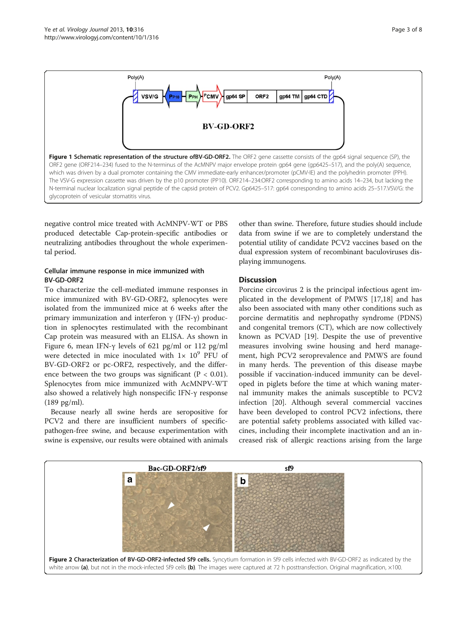<span id="page-2-0"></span>

negative control mice treated with AcMNPV-WT or PBS produced detectable Cap-protein-specific antibodies or neutralizing antibodies throughout the whole experimental period.

## Cellular immune response in mice immunized with BV-GD-ORF2

To characterize the cell-mediated immune responses in mice immunized with BV-GD-ORF2, splenocytes were isolated from the immunized mice at 6 weeks after the primary immunization and interferon γ (IFN-γ) production in splenocytes restimulated with the recombinant Cap protein was measured with an ELISA. As shown in Figure [6](#page-4-0), mean IFN-γ levels of 621 pg/ml or 112 pg/ml were detected in mice inoculated with  $1 \times 10^9$  PFU of BV-GD-ORF2 or pc-ORF2, respectively, and the difference between the two groups was significant ( $P < 0.01$ ). Splenocytes from mice immunized with AcMNPV-WT also showed a relatively high nonspecific IFN-γ response (189 pg/ml).

Because nearly all swine herds are seropositive for PCV2 and there are insufficient numbers of specificpathogen-free swine, and because experimentation with swine is expensive, our results were obtained with animals other than swine. Therefore, future studies should include data from swine if we are to completely understand the potential utility of candidate PCV2 vaccines based on the dual expression system of recombinant baculoviruses displaying immunogens.

## **Discussion**

Porcine circovirus 2 is the principal infectious agent implicated in the development of PMWS [\[17,18](#page-6-0)] and has also been associated with many other conditions such as porcine dermatitis and nephropathy syndrome (PDNS) and congenital tremors (CT), which are now collectively known as PCVAD [\[19](#page-6-0)]. Despite the use of preventive measures involving swine housing and herd management, high PCV2 seroprevalence and PMWS are found in many herds. The prevention of this disease maybe possible if vaccination-induced immunity can be developed in piglets before the time at which waning maternal immunity makes the animals susceptible to PCV2 infection [\[20\]](#page-6-0). Although several commercial vaccines have been developed to control PCV2 infections, there are potential safety problems associated with killed vaccines, including their incomplete inactivation and an increased risk of allergic reactions arising from the large

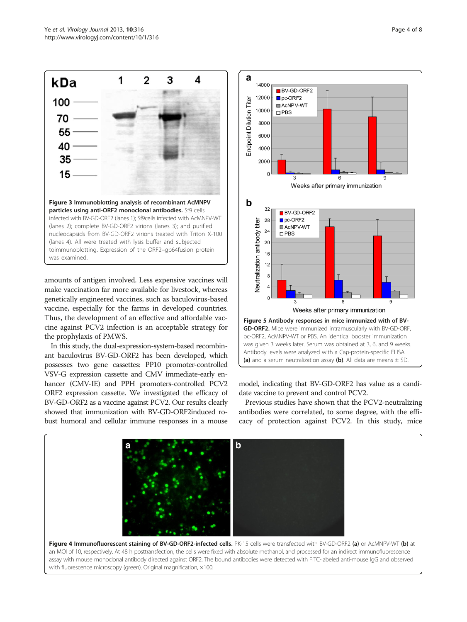amounts of antigen involved. Less expensive vaccines will make vaccination far more available for livestock, whereas genetically engineered vaccines, such as baculovirus-based vaccine, especially for the farms in developed countries. Thus, the development of an effective and affordable vaccine against PCV2 infection is an acceptable strategy for the prophylaxis of PMWS.

In this study, the dual-expression-system-based recombinant baculovirus BV-GD-ORF2 has been developed, which possesses two gene cassettes: PP10 promoter-controlled VSV-G expression cassette and CMV immediate-early enhancer (CMV-IE) and PPH promoters-controlled PCV2 ORF2 expression cassette. We investigated the efficacy of BV-GD-ORF2 as a vaccine against PCV2. Our results clearly showed that immunization with BV-GD-ORF2induced robust humoral and cellular immune responses in a mouse

model, indicating that BV-GD-ORF2 has value as a candidate vaccine to prevent and control PCV2.

Previous studies have shown that the PCV2-neutralizing antibodies were correlated, to some degree, with the efficacy of protection against PCV2. In this study, mice



 $\mathbf b$ 

<span id="page-3-0"></span>

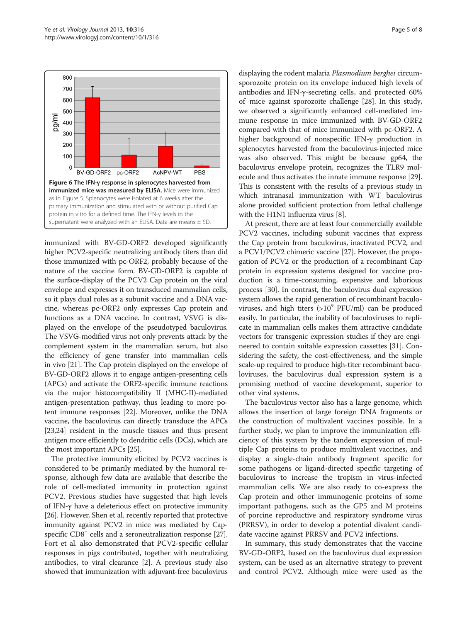<span id="page-4-0"></span>

immunized with BV-GD-ORF2 developed significantly higher PCV2-specific neutralizing antibody titers than did those immunized with pc-ORF2, probably because of the nature of the vaccine form. BV-GD-ORF2 is capable of the surface-display of the PCV2 Cap protein on the viral envelope and expresses it on transduced mammalian cells, so it plays dual roles as a subunit vaccine and a DNA vaccine, whereas pc-ORF2 only expresses Cap protein and functions as a DNA vaccine. In contrast, VSVG is displayed on the envelope of the pseudotyped baculovirus. The VSVG-modified virus not only prevents attack by the complement system in the mammalian serum, but also the efficiency of gene transfer into mammalian cells in vivo [\[21](#page-6-0)]. The Cap protein displayed on the envelope of BV-GD-ORF2 allows it to engage antigen-presenting cells (APCs) and activate the ORF2-specific immune reactions via the major histocompatibility II (MHC-II)-mediated antigen-presentation pathway, thus leading to more potent immune responses [\[22\]](#page-6-0). Moreover, unlike the DNA vaccine, the baculovirus can directly transduce the APCs [[23,24](#page-6-0)] resident in the muscle tissues and thus present antigen more efficiently to dendritic cells (DCs), which are the most important APCs [[25](#page-6-0)].

The protective immunity elicited by PCV2 vaccines is considered to be primarily mediated by the humoral response, although few data are available that describe the role of cell-mediated immunity in protection against PCV2. Previous studies have suggested that high levels of IFN-γ have a deleterious effect on protective immunity [[26](#page-6-0)]. However, Shen et al. recently reported that protective immunity against PCV2 in mice was mediated by Cap-specific CD8<sup>+</sup> cells and a seroneutralization response [[27](#page-7-0)]. Fort et al. also demonstrated that PCV2-specific cellular responses in pigs contributed, together with neutralizing antibodies, to viral clearance [\[2\]](#page-6-0). A previous study also showed that immunization with adjuvant-free baculovirus

displaying the rodent malaria Plasmodium berghei circumsporozoite protein on its envelope induced high levels of antibodies and IFN-γ-secreting cells, and protected 60% of mice against sporozoite challenge [[28](#page-7-0)]. In this study, we observed a significantly enhanced cell-mediated immune response in mice immunized with BV-GD-ORF2 compared with that of mice immunized with pc-ORF2. A higher background of nonspecific IFN-γ production in splenocytes harvested from the baculovirus-injected mice was also observed. This might be because gp64, the baculovirus envelope protein, recognizes the TLR9 molecule and thus activates the innate immune response [[29](#page-7-0)]. This is consistent with the results of a previous study in which intranasal immunization with WT baculovirus alone provided sufficient protection from lethal challenge with the H1N1 influenza virus [\[8](#page-6-0)].

At present, there are at least four commercially available PCV2 vaccines, including subunit vaccines that express the Cap protein from baculovirus, inactivated PCV2, and a PCV1/PCV2 chimeric vaccine [[27](#page-7-0)]. However, the propagation of PCV2 or the production of a recombinant Cap protein in expression systems designed for vaccine production is a time-consuming, expensive and laborious process [\[30\]](#page-7-0). In contrast, the baculovirus dual expression system allows the rapid generation of recombinant baculoviruses, and high titers  $(>10^9 \text{ PFU/ml})$  can be produced easily. In particular, the inability of baculoviruses to replicate in mammalian cells makes them attractive candidate vectors for transgenic expression studies if they are engineered to contain suitable expression cassettes [\[31\]](#page-7-0). Considering the safety, the cost-effectiveness, and the simple scale-up required to produce high-titer recombinant baculoviruses, the baculovirus dual expression system is a promising method of vaccine development, superior to other viral systems.

The baculovirus vector also has a large genome, which allows the insertion of large foreign DNA fragments or the construction of multivalent vaccines possible. In a further study, we plan to improve the immunization efficiency of this system by the tandem expression of multiple Cap proteins to produce multivalent vaccines, and display a single-chain antibody fragment specific for some pathogens or ligand-directed specific targeting of baculovirus to increase the tropism in virus-infected mammalian cells. We are also ready to co-express the Cap protein and other immunogenic proteins of some important pathogens, such as the GP5 and M proteins of porcine reproductive and respiratory syndrome virus (PRRSV), in order to develop a potential divalent candidate vaccine against PRRSV and PCV2 infections.

In summary, this study demonstrates that the vaccine BV-GD-ORF2, based on the baculovirus dual expression system, can be used as an alternative strategy to prevent and control PCV2. Although mice were used as the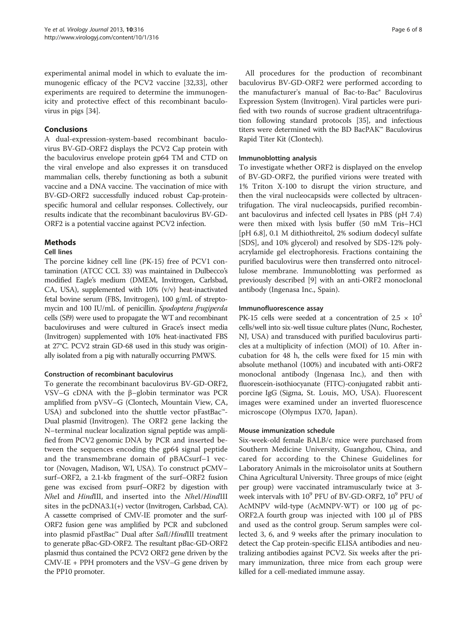<span id="page-5-0"></span>experimental animal model in which to evaluate the immunogenic efficacy of the PCV2 vaccine [\[32,33](#page-7-0)], other experiments are required to determine the immunogenicity and protective effect of this recombinant baculovirus in pigs [[34\]](#page-7-0).

## Conclusions

A dual-expression-system-based recombinant baculovirus BV-GD-ORF2 displays the PCV2 Cap protein with the baculovirus envelope protein gp64 TM and CTD on the viral envelope and also expresses it on transduced mammalian cells, thereby functioning as both a subunit vaccine and a DNA vaccine. The vaccination of mice with BV-GD-ORF2 successfully induced robust Cap-proteinspecific humoral and cellular responses. Collectively, our results indicate that the recombinant baculovirus BV-GD-ORF2 is a potential vaccine against PCV2 infection.

## Methods

## Cell lines

The porcine kidney cell line (PK-15) free of PCV1 contamination (ATCC CCL 33) was maintained in Dulbecco's modified Eagle's medium (DMEM, Invitrogen, Carlsbad, CA, USA), supplemented with 10% (v/v) heat-inactivated fetal bovine serum (FBS, Invitrogen), 100 g/mL of streptomycin and 100 IU/mL of penicillin. Spodoptera frugiperda cells (Sf9) were used to propagate the WT and recombinant baculoviruses and were cultured in Grace's insect media (Invitrogen) supplemented with 10% heat-inactivated FBS at 27°C. PCV2 strain GD-68 used in this study was originally isolated from a pig with naturally occurring PMWS.

## Construction of recombinant baculovirus

To generate the recombinant baculovirus BV-GD-ORF2, VSV–G cDNA with the β–globin terminator was PCR amplified from pVSV–G (Clontech, Mountain View, CA, USA) and subcloned into the shuttle vector pFastBac™- Dual plasmid (Invitrogen). The ORF2 gene lacking the N–terminal nuclear localization signal peptide was amplified from PCV2 genomic DNA by PCR and inserted between the sequences encoding the gp64 signal peptide and the transmembrane domain of pBACsurf–1 vector (Novagen, Madison, WI, USA). To construct pCMV– surf–ORF2, a 2.1-kb fragment of the surf–ORF2 fusion gene was excised from psurf–ORF2 by digestion with NheI and HindIII, and inserted into the NheI/HindIII sites in the pcDNA3.1(+) vector (Invitrogen, Carlsbad, CA). A cassette comprised of CMV-IE promoter and the surf-ORF2 fusion gene was amplified by PCR and subcloned into plasmid pFastBac™ Dual after SalI/HindIII treatment to generate pBac-GD-ORF2. The resultant pBac-GD-ORF2 plasmid thus contained the PCV2 ORF2 gene driven by the CMV-IE + PPH promoters and the VSV–G gene driven by the PP10 promoter.

All procedures for the production of recombinant baculovirus BV-GD-ORF2 were performed according to the manufacturer's manual of Bac-to-Bac® Baculovirus Expression System (Invitrogen). Viral particles were purified with two rounds of sucrose gradient ultracentrifugation following standard protocols [[35](#page-7-0)], and infectious titers were determined with the BD BacPAK™ Baculovirus Rapid Titer Kit (Clontech).

## Immunoblotting analysis

To investigate whether ORF2 is displayed on the envelop of BV-GD-ORF2, the purified virions were treated with 1% Triton X-100 to disrupt the virion structure, and then the viral nucleocapsids were collected by ultracentrifugation. The viral nucleocapsids, purified recombinant baculovirus and infected cell lysates in PBS (pH 7.4) were then mixed with lysis buffer (50 mM Tris–HCl [pH 6.8], 0.1 M dithiothreitol, 2% sodium dodecyl sulfate [SDS], and 10% glycerol) and resolved by SDS-12% polyacrylamide gel electrophoresis. Fractions containing the purified baculovirus were then transferred onto nitrocellulose membrane. Immunoblotting was performed as previously described [\[9\]](#page-6-0) with an anti-ORF2 monoclonal antibody (Ingenasa Inc., Spain).

#### Immunofluorescence assay

PK-15 cells were seeded at a concentration of 2.5  $\times$  10<sup>5</sup> cells/well into six-well tissue culture plates (Nunc, Rochester, NJ, USA) and transduced with purified baculovirus particles at a multiplicity of infection (MOI) of 10. After incubation for 48 h, the cells were fixed for 15 min with absolute methanol (100%) and incubated with anti-ORF2 monoclonal antibody (Ingenasa Inc.), and then with fluorescein-isothiocyanate (FITC)-conjugated rabbit antiporcine IgG (Sigma, St. Louis, MO, USA). Fluorescent images were examined under an inverted fluorescence microscope (Olympus IX70, Japan).

#### Mouse immunization schedule

Six-week-old female BALB/c mice were purchased from Southern Medicine University, Guangzhou, China, and cared for according to the Chinese Guidelines for Laboratory Animals in the microisolator units at Southern China Agricultural University. Three groups of mice (eight per group) were vaccinated intramuscularly twice at 3 week intervals with  $10^9$  PFU of BV-GD-ORF2,  $10^9$  PFU of AcMNPV wild-type (AcMNPV-WT) or 100 μg of pc-ORF2.A fourth group was injected with 100 μl of PBS and used as the control group. Serum samples were collected 3, 6, and 9 weeks after the primary inoculation to detect the Cap protein-specific ELISA antibodies and neutralizing antibodies against PCV2. Six weeks after the primary immunization, three mice from each group were killed for a cell-mediated immune assay.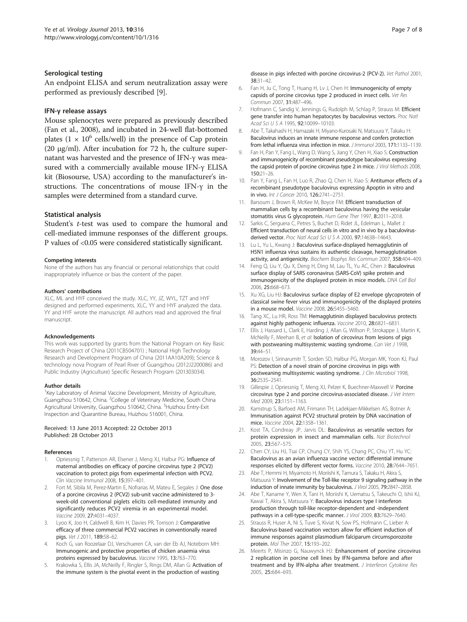#### <span id="page-6-0"></span>Serological testing

An endpoint ELISA and serum neutralization assay were performed as previously described [9].

#### IFN-γ release assays

Mouse splenocytes were prepared as previously described (Fan et al., 2008), and incubated in 24-well flat-bottomed plates  $(1 \times 10^6 \text{ cells/well})$  in the presence of Cap protein (20 μg/ml). After incubation for 72 h, the culture supernatant was harvested and the presence of IFN-γ was measured with a commercially available mouse IFN-γ ELISA kit (Biosourse, USA) according to the manufacturer's instructions. The concentrations of mouse IFN-γ in the samples were determined from a standard curve.

#### Statistical analysis

Student's t-test was used to compare the humoral and cell-mediated immune responses of the different groups. P values of <0.05 were considered statistically significant.

#### Competing interests

None of the authors has any financial or personal relationships that could inappropriately influence or bias the content of the paper.

#### Authors' contributions

XLC, ML and HYF conceived the study. XLC, YY, JZ, WYL, TZT and HYF designed and performed experiments. XLC, YY and HYF analyzed the data. YY and HYF wrote the manuscript. All authors read and approved the final manuscript.

#### Acknowledgements

This work was supported by grants from the National Program on Key Basic Research Project of China (2011CB504701) ; National High Technology Research and Development Program of China (2011AA10A209); Science & technology nova Program of Pearl River of Guangzhou (2012J2200086) and Public Industry (Agriculture) Specific Research Program (201303034).

#### Author details

<sup>1</sup>Key Laboratory of Animal Vaccine Development, Ministry of Agriculture, Guangzhou 510642, China. <sup>2</sup>College of Veterinary Medicine, South China Agricultural University, Guangzhou 510642, China. <sup>3</sup>Huizhou Entry-Exit Inspection and Quarantine Bureau, Huizhou 516001, China.

#### Received: 13 June 2013 Accepted: 22 October 2013 Published: 28 October 2013

#### References

- Opriessnig T, Patterson AR, Elsener J, Meng XJ, Halbur PG: Influence of maternal antibodies on efficacy of porcine circovirus type 2 (PCV2) vaccination to protect pigs from experimental infection with PCV2. Clin Vaccine Immunol 2008, 15:397–401.
- Fort M, Sibila M, Perez-Martin E, Nofrarias M, Mateu E, Segales J: One dose of a porcine circovirus 2 (PCV2) sub-unit vaccine administered to 3 week-old conventional piglets elicits cell-mediated immunity and significantly reduces PCV2 viremia in an experimental model. Vaccine 2009, 27:4031–4037.
- 3. Lyoo K, Joo H, Caldwell B, Kim H, Davies PR, Torrison J: Comparative efficacy of three commercial PCV2 vaccines in conventionally reared pigs. Vet J 2011, 189:58–62.
- 4. Koch G, van Roozelaar DJ, Verschueren CA, van der Eb AJ, Noteborn MH: Immunogenic and protective properties of chicken anaemia virus proteins expressed by baculovirus. Vaccine 1995, 13:763–770.
- 5. Krakowka S, Ellis JA, McNeilly F, Ringler S, Rings DM, Allan G: Activation of the immune system is the pivotal event in the production of wasting
- 6. Fan H, Ju C, Tong T, Huang H, Lv J, Chen H: Immunogenicity of empty capsids of porcine circovius type 2 produced in insect cells. Vet Res Commun 2007, 31:487–496.
- 7. Hofmann C, Sandig V, Jennings G, Rudolph M, Schlag P, Strauss M: Efficient gene transfer into human hepatocytes by baculovirus vectors. Proc Natl Acad Sci U S A 1995, 92:10099–10103.
- 8. Abe T, Takahashi H, Hamazaki H, Miyano-Kurosaki N, Matsuura Y, Takaku H: Baculovirus induces an innate immune response and confers protection from lethal influenza virus infection in mice. J Immunol 2003, 171:1133-1139.
- 9. Fan H, Pan Y, Fang L, Wang D, Wang S, Jiang Y, Chen H, Xiao S: Construction and immunogenicity of recombinant pseudotype baculovirus expressing the capsid protein of porcine circovirus type 2 in mice. J Virol Methods 2008, 150:21–26.
- 10. Pan Y, Fang L, Fan H, Luo R, Zhao Q, Chen H, Xiao S: Antitumor effects of a recombinant pseudotype baculovirus expressing Apoptin in vitro and in vivo. Int J Cancer 2010, 126:2741–2751.
- 11. Barsoum J, Brown R, McKee M, Boyce FM: Efficient transduction of mammalian cells by a recombinant baculovirus having the vesicular stomatitis virus G glycoprotein. Hum Gene Ther 1997, 8:2011–2018.
- 12. Sarkis C, Serguera C, Petres S, Buchet D, Ridet JL, Edelman L, Mallet J: Efficient transduction of neural cells in vitro and in vivo by a baculovirusderived vector. Proc Natl Acad Sci U S A 2000, 97:14638-14643.
- 13. Lu L, Yu L, Kwang J: Baculovirus surface-displayed hemagglutinin of H5N1 influenza virus sustains its authentic cleavage, hemagglutination activity, and antigenicity. Biochem Biophys Res Commun 2007, 358:404–409.
- 14. Feng Q, Liu Y, Qu X, Deng H, Ding M, Lau TL, Yu AC, Chen J: Baculovirus surface display of SARS coronavirus (SARS-CoV) spike protein and immunogenicity of the displayed protein in mice models. DNA Cell Biol 2006, 25:668–673.
- 15. Xu XG, Liu HJ: Baculovirus surface display of E2 envelope glycoprotein of classical swine fever virus and immunogenicity of the displayed proteins in a mouse model. Vaccine 2008, 26:5455–5460.
- 16. Tang XC, Lu HR, Ross TM: Hemagglutinin displayed baculovirus protects against highly pathogenic influenza. Vaccine 2010, 28:6821-6831
- 17. Ellis J, Hassard L, Clark E, Harding J, Allan G, Willson P, Strokappe J, Martin K, McNeilly F, Meehan B, et al: Isolation of circovirus from lesions of pigs with postweaning multisystemic wasting syndrome. Can Vet J 1998, 39:44–51.
- 18. Morozov I, Sirinarumitr T, Sorden SD, Halbur PG, Morgan MK, Yoon KJ, Paul PS: Detection of a novel strain of porcine circovirus in pigs with postweaning multisystemic wasting syndrome. J Clin Microbiol 1998, 36:2535–2541.
- 19. Gillespie J, Opriessnig T, Meng XJ, Pelzer K, Buechner-Maxwell V: Porcine circovirus type 2 and porcine circovirus-associated disease. J Vet Intern Med 2009, 23:1151–1163.
- 20. Kamstrup S, Barfoed AM, Frimann TH, Ladekjaer-Mikkelsen AS, Botner A: Immunisation against PCV2 structural protein by DNA vaccination of mice. Vaccine 2004, 22:1358–1361.
- 21. Kost TA, Condreay JP, Jarvis DL: Baculovirus as versatile vectors for protein expression in insect and mammalian cells. Nat Biotechnol 2005, 23:567–575.
- 22. Chen CY, Liu HJ, Tsai CP, Chung CY, Shih YS, Chang PC, Chiu YT, Hu YC: Baculovirus as an avian influenza vaccine vector: differential immune responses elicited by different vector forms. Vaccine 2010, 28:7644–7651.
- 23. Abe T, Hemmi H, Miyamoto H, Moriishi K, Tamura S, Takaku H, Akira S, Matsuura Y: Involvement of the Toll-like receptor 9 signaling pathway in the induction of innate immunity by baculovirus. J Virol 2005, 79:2847–2858.
- 24. Abe T, Kaname Y, Wen X, Tani H, Moriishi K, Uematsu S, Takeuchi O, Ishii KJ, Kawai T, Akira S, Matsuura Y: Baculovirus induces type I interferon production through toll-like receptor-dependent and -independent pathways in a cell-type-specific manner. J Virol 2009, 83:7629-7640.
- Strauss R, Huser A, Ni S, Tuve S, Kiviat N, Sow PS, Hofmann C, Lieber A: Baculovirus-based vaccination vectors allow for efficient induction of immune responses against plasmodium falciparum circumsporozoite protein. Mol Ther 2007, 15:193–202.
- 26. Meerts P, Misinzo G, Nauwynck HJ: Enhancement of porcine circovirus 2 replication in porcine cell lines by IFN-gamma before and after treatment and by IFN-alpha after treatment. J Interferon Cytokine Res 2005, 25:684–693.